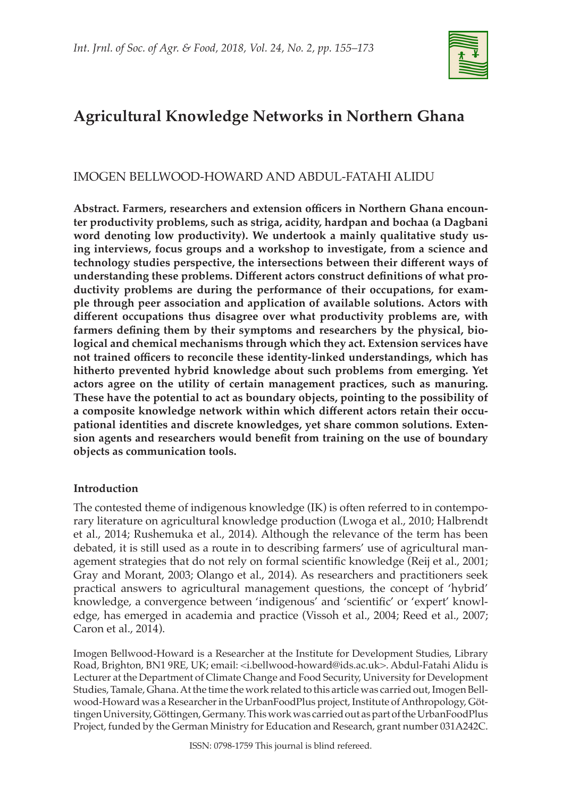

# **Agricultural Knowledge Networks in Northern Ghana**

# IMOGEN BELLWOOD-HOWARD AND ABDUL-FATAHI ALIDU

**Abstract. Farmers, researchers and extension officers in Northern Ghana encounter productivity problems, such as striga, acidity, hardpan and bochaa (a Dagbani word denoting low productivity). We undertook a mainly qualitative study using interviews, focus groups and a workshop to investigate, from a science and technology studies perspective, the intersections between their different ways of understanding these problems. Different actors construct definitions of what productivity problems are during the performance of their occupations, for example through peer association and application of available solutions. Actors with different occupations thus disagree over what productivity problems are, with farmers defining them by their symptoms and researchers by the physical, biological and chemical mechanisms through which they act. Extension services have not trained officers to reconcile these identity-linked understandings, which has hitherto prevented hybrid knowledge about such problems from emerging. Yet actors agree on the utility of certain management practices, such as manuring. These have the potential to act as boundary objects, pointing to the possibility of a composite knowledge network within which different actors retain their occupational identities and discrete knowledges, yet share common solutions. Extension agents and researchers would benefit from training on the use of boundary objects as communication tools.**

# **Introduction**

The contested theme of indigenous knowledge (IK) is often referred to in contemporary literature on agricultural knowledge production (Lwoga et al., 2010; Halbrendt et al., 2014; Rushemuka et al., 2014). Although the relevance of the term has been debated, it is still used as a route in to describing farmers' use of agricultural management strategies that do not rely on formal scientific knowledge (Reij et al., 2001; Gray and Morant, 2003; Olango et al., 2014). As researchers and practitioners seek practical answers to agricultural management questions, the concept of 'hybrid' knowledge, a convergence between 'indigenous' and 'scientific' or 'expert' knowledge, has emerged in academia and practice (Vissoh et al., 2004; Reed et al., 2007; Caron et al., 2014).

Imogen Bellwood-Howard is a Researcher at the Institute for Development Studies, Library Road, Brighton, BN1 9RE, UK; email: <i.bellwood-howard@ids.ac.uk>. Abdul-Fatahi Alidu is Lecturer at the Department of Climate Change and Food Security, University for Development Studies, Tamale, Ghana. At the time the work related to this article was carried out, Imogen Bellwood-Howard was a Researcher in the UrbanFoodPlus project, Institute of Anthropology, Göttingen University, Göttingen, Germany. This work was carried out as part of the UrbanFoodPlus Project, funded by the German Ministry for Education and Research, grant number 031A242C.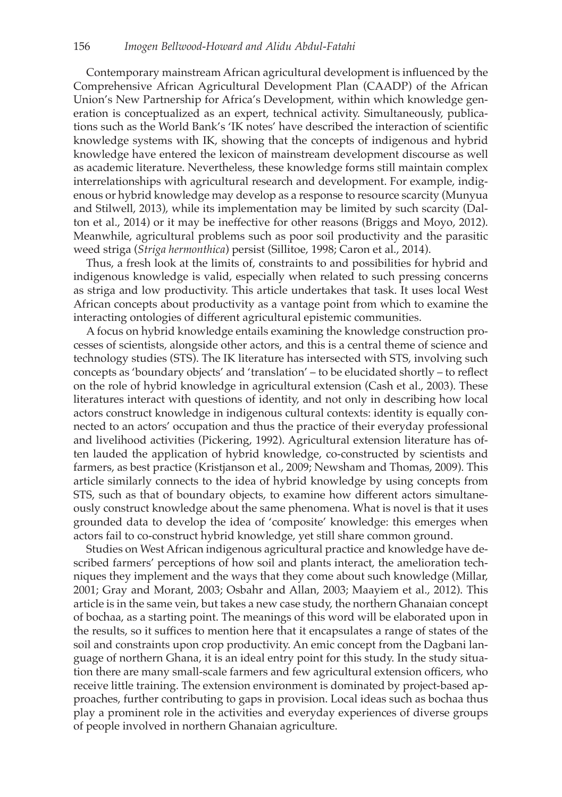Contemporary mainstream African agricultural development is influenced by the Comprehensive African Agricultural Development Plan (CAADP) of the African Union's New Partnership for Africa's Development, within which knowledge generation is conceptualized as an expert, technical activity. Simultaneously, publications such as the World Bank's 'IK notes' have described the interaction of scientific knowledge systems with IK, showing that the concepts of indigenous and hybrid knowledge have entered the lexicon of mainstream development discourse as well as academic literature. Nevertheless, these knowledge forms still maintain complex interrelationships with agricultural research and development. For example, indigenous or hybrid knowledge may develop as a response to resource scarcity (Munyua and Stilwell, 2013), while its implementation may be limited by such scarcity (Dalton et al., 2014) or it may be ineffective for other reasons (Briggs and Moyo, 2012). Meanwhile, agricultural problems such as poor soil productivity and the parasitic weed striga (*Striga hermonthica*) persist (Sillitoe, 1998; Caron et al., 2014).

Thus, a fresh look at the limits of, constraints to and possibilities for hybrid and indigenous knowledge is valid, especially when related to such pressing concerns as striga and low productivity. This article undertakes that task. It uses local West African concepts about productivity as a vantage point from which to examine the interacting ontologies of different agricultural epistemic communities.

A focus on hybrid knowledge entails examining the knowledge construction processes of scientists, alongside other actors, and this is a central theme of science and technology studies (STS). The IK literature has intersected with STS, involving such concepts as 'boundary objects' and 'translation' – to be elucidated shortly – to reflect on the role of hybrid knowledge in agricultural extension (Cash et al., 2003). These literatures interact with questions of identity, and not only in describing how local actors construct knowledge in indigenous cultural contexts: identity is equally connected to an actors' occupation and thus the practice of their everyday professional and livelihood activities (Pickering, 1992). Agricultural extension literature has often lauded the application of hybrid knowledge, co-constructed by scientists and farmers, as best practice (Kristjanson et al., 2009; Newsham and Thomas, 2009). This article similarly connects to the idea of hybrid knowledge by using concepts from STS, such as that of boundary objects, to examine how different actors simultaneously construct knowledge about the same phenomena. What is novel is that it uses grounded data to develop the idea of 'composite' knowledge: this emerges when actors fail to co-construct hybrid knowledge, yet still share common ground.

Studies on West African indigenous agricultural practice and knowledge have described farmers' perceptions of how soil and plants interact, the amelioration techniques they implement and the ways that they come about such knowledge (Millar, 2001; Gray and Morant, 2003; Osbahr and Allan, 2003; Maayiem et al., 2012). This article is in the same vein, but takes a new case study, the northern Ghanaian concept of bochaa, as a starting point. The meanings of this word will be elaborated upon in the results, so it suffices to mention here that it encapsulates a range of states of the soil and constraints upon crop productivity. An emic concept from the Dagbani language of northern Ghana, it is an ideal entry point for this study. In the study situation there are many small-scale farmers and few agricultural extension officers, who receive little training. The extension environment is dominated by project-based approaches, further contributing to gaps in provision. Local ideas such as bochaa thus play a prominent role in the activities and everyday experiences of diverse groups of people involved in northern Ghanaian agriculture.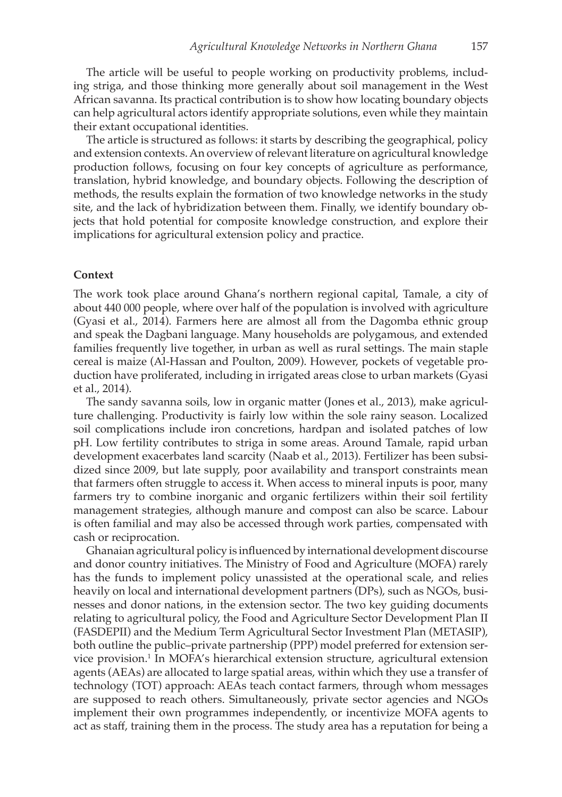The article will be useful to people working on productivity problems, including striga, and those thinking more generally about soil management in the West African savanna. Its practical contribution is to show how locating boundary objects can help agricultural actors identify appropriate solutions, even while they maintain their extant occupational identities.

The article is structured as follows: it starts by describing the geographical, policy and extension contexts. An overview of relevant literature on agricultural knowledge production follows, focusing on four key concepts of agriculture as performance, translation, hybrid knowledge, and boundary objects. Following the description of methods, the results explain the formation of two knowledge networks in the study site, and the lack of hybridization between them. Finally, we identify boundary objects that hold potential for composite knowledge construction, and explore their implications for agricultural extension policy and practice.

#### **Context**

The work took place around Ghana's northern regional capital, Tamale, a city of about 440 000 people, where over half of the population is involved with agriculture (Gyasi et al., 2014). Farmers here are almost all from the Dagomba ethnic group and speak the Dagbani language. Many households are polygamous, and extended families frequently live together, in urban as well as rural settings. The main staple cereal is maize (Al-Hassan and Poulton, 2009). However, pockets of vegetable production have proliferated, including in irrigated areas close to urban markets (Gyasi et al., 2014).

The sandy savanna soils, low in organic matter (Jones et al., 2013), make agriculture challenging. Productivity is fairly low within the sole rainy season. Localized soil complications include iron concretions, hardpan and isolated patches of low pH. Low fertility contributes to striga in some areas. Around Tamale, rapid urban development exacerbates land scarcity (Naab et al., 2013). Fertilizer has been subsidized since 2009, but late supply, poor availability and transport constraints mean that farmers often struggle to access it. When access to mineral inputs is poor, many farmers try to combine inorganic and organic fertilizers within their soil fertility management strategies, although manure and compost can also be scarce. Labour is often familial and may also be accessed through work parties, compensated with cash or reciprocation.

Ghanaian agricultural policy is influenced by international development discourse and donor country initiatives. The Ministry of Food and Agriculture (MOFA) rarely has the funds to implement policy unassisted at the operational scale, and relies heavily on local and international development partners (DPs), such as NGOs, businesses and donor nations, in the extension sector. The two key guiding documents relating to agricultural policy, the Food and Agriculture Sector Development Plan II (FASDEPII) and the Medium Term Agricultural Sector Investment Plan (METASIP), both outline the public–private partnership (PPP) model preferred for extension service provision.<sup>1</sup> In MOFA's hierarchical extension structure, agricultural extension agents (AEAs) are allocated to large spatial areas, within which they use a transfer of technology (TOT) approach: AEAs teach contact farmers, through whom messages are supposed to reach others. Simultaneously, private sector agencies and NGOs implement their own programmes independently, or incentivize MOFA agents to act as staff, training them in the process. The study area has a reputation for being a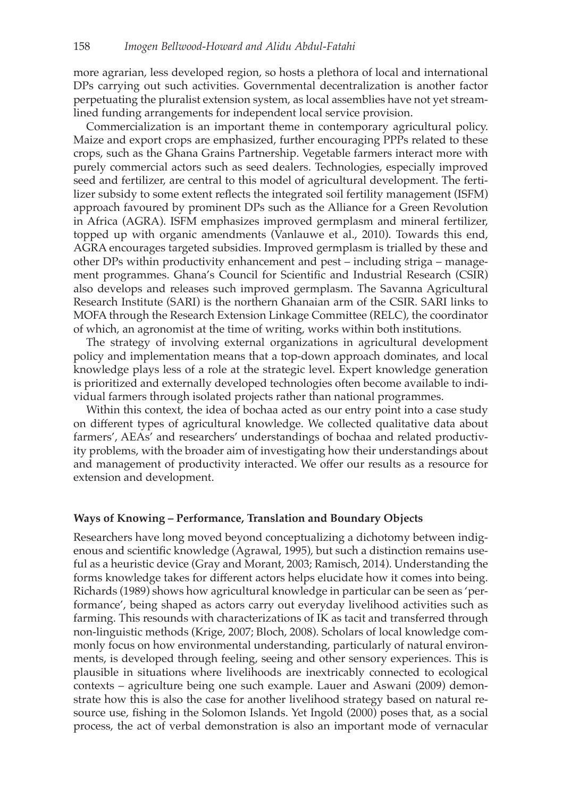more agrarian, less developed region, so hosts a plethora of local and international DPs carrying out such activities. Governmental decentralization is another factor perpetuating the pluralist extension system, as local assemblies have not yet streamlined funding arrangements for independent local service provision.

Commercialization is an important theme in contemporary agricultural policy. Maize and export crops are emphasized, further encouraging PPPs related to these crops, such as the Ghana Grains Partnership. Vegetable farmers interact more with purely commercial actors such as seed dealers. Technologies, especially improved seed and fertilizer, are central to this model of agricultural development. The fertilizer subsidy to some extent reflects the integrated soil fertility management (ISFM) approach favoured by prominent DPs such as the Alliance for a Green Revolution in Africa (AGRA). ISFM emphasizes improved germplasm and mineral fertilizer, topped up with organic amendments (Vanlauwe et al., 2010). Towards this end, AGRA encourages targeted subsidies. Improved germplasm is trialled by these and other DPs within productivity enhancement and pest – including striga – management programmes. Ghana's Council for Scientific and Industrial Research (CSIR) also develops and releases such improved germplasm. The Savanna Agricultural Research Institute (SARI) is the northern Ghanaian arm of the CSIR. SARI links to MOFA through the Research Extension Linkage Committee (RELC), the coordinator of which, an agronomist at the time of writing, works within both institutions.

The strategy of involving external organizations in agricultural development policy and implementation means that a top-down approach dominates, and local knowledge plays less of a role at the strategic level. Expert knowledge generation is prioritized and externally developed technologies often become available to individual farmers through isolated projects rather than national programmes.

Within this context, the idea of bochaa acted as our entry point into a case study on different types of agricultural knowledge. We collected qualitative data about farmers', AEAs' and researchers' understandings of bochaa and related productivity problems, with the broader aim of investigating how their understandings about and management of productivity interacted. We offer our results as a resource for extension and development.

### **Ways of Knowing – Performance, Translation and Boundary Objects**

Researchers have long moved beyond conceptualizing a dichotomy between indigenous and scientific knowledge (Agrawal, 1995), but such a distinction remains useful as a heuristic device (Gray and Morant, 2003; Ramisch, 2014). Understanding the forms knowledge takes for different actors helps elucidate how it comes into being. Richards (1989) shows how agricultural knowledge in particular can be seen as 'performance', being shaped as actors carry out everyday livelihood activities such as farming. This resounds with characterizations of IK as tacit and transferred through non-linguistic methods (Krige, 2007; Bloch, 2008). Scholars of local knowledge commonly focus on how environmental understanding, particularly of natural environments, is developed through feeling, seeing and other sensory experiences. This is plausible in situations where livelihoods are inextricably connected to ecological contexts – agriculture being one such example. Lauer and Aswani (2009) demonstrate how this is also the case for another livelihood strategy based on natural resource use, fishing in the Solomon Islands. Yet Ingold (2000) poses that, as a social process, the act of verbal demonstration is also an important mode of vernacular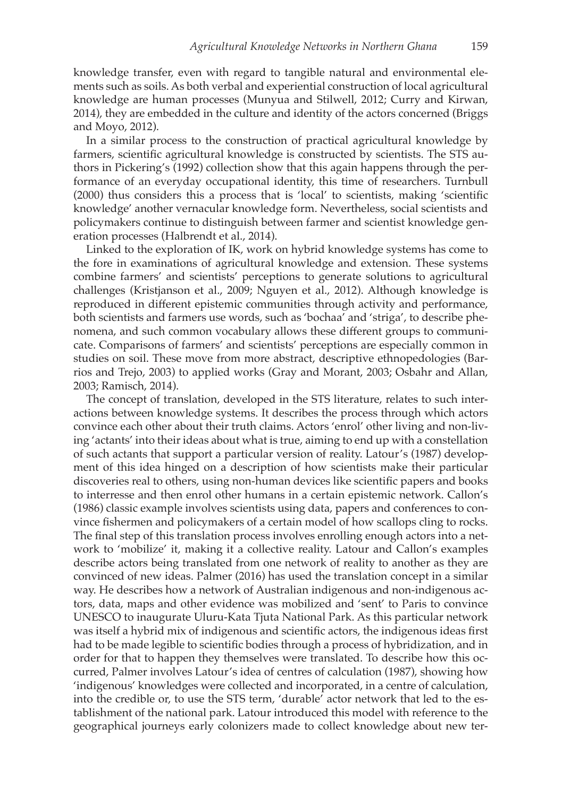knowledge transfer, even with regard to tangible natural and environmental elements such as soils. As both verbal and experiential construction of local agricultural knowledge are human processes (Munyua and Stilwell, 2012; Curry and Kirwan, 2014), they are embedded in the culture and identity of the actors concerned (Briggs and Moyo, 2012).

In a similar process to the construction of practical agricultural knowledge by farmers, scientific agricultural knowledge is constructed by scientists. The STS authors in Pickering's (1992) collection show that this again happens through the performance of an everyday occupational identity, this time of researchers. Turnbull (2000) thus considers this a process that is 'local' to scientists, making 'scientific knowledge' another vernacular knowledge form. Nevertheless, social scientists and policymakers continue to distinguish between farmer and scientist knowledge generation processes (Halbrendt et al., 2014).

Linked to the exploration of IK, work on hybrid knowledge systems has come to the fore in examinations of agricultural knowledge and extension. These systems combine farmers' and scientists' perceptions to generate solutions to agricultural challenges (Kristjanson et al., 2009; Nguyen et al., 2012). Although knowledge is reproduced in different epistemic communities through activity and performance, both scientists and farmers use words, such as 'bochaa' and 'striga', to describe phenomena, and such common vocabulary allows these different groups to communicate. Comparisons of farmers' and scientists' perceptions are especially common in studies on soil. These move from more abstract, descriptive ethnopedologies (Barrios and Trejo, 2003) to applied works (Gray and Morant, 2003; Osbahr and Allan, 2003; Ramisch, 2014).

The concept of translation, developed in the STS literature, relates to such interactions between knowledge systems. It describes the process through which actors convince each other about their truth claims. Actors 'enrol' other living and non-living 'actants' into their ideas about what is true, aiming to end up with a constellation of such actants that support a particular version of reality. Latour's (1987) development of this idea hinged on a description of how scientists make their particular discoveries real to others, using non-human devices like scientific papers and books to interresse and then enrol other humans in a certain epistemic network. Callon's (1986) classic example involves scientists using data, papers and conferences to convince fishermen and policymakers of a certain model of how scallops cling to rocks. The final step of this translation process involves enrolling enough actors into a network to 'mobilize' it, making it a collective reality. Latour and Callon's examples describe actors being translated from one network of reality to another as they are convinced of new ideas. Palmer (2016) has used the translation concept in a similar way. He describes how a network of Australian indigenous and non-indigenous actors, data, maps and other evidence was mobilized and 'sent' to Paris to convince UNESCO to inaugurate Uluru-Kata Tjuta National Park. As this particular network was itself a hybrid mix of indigenous and scientific actors, the indigenous ideas first had to be made legible to scientific bodies through a process of hybridization, and in order for that to happen they themselves were translated. To describe how this occurred, Palmer involves Latour's idea of centres of calculation (1987), showing how 'indigenous' knowledges were collected and incorporated, in a centre of calculation, into the credible or, to use the STS term, 'durable' actor network that led to the establishment of the national park. Latour introduced this model with reference to the geographical journeys early colonizers made to collect knowledge about new ter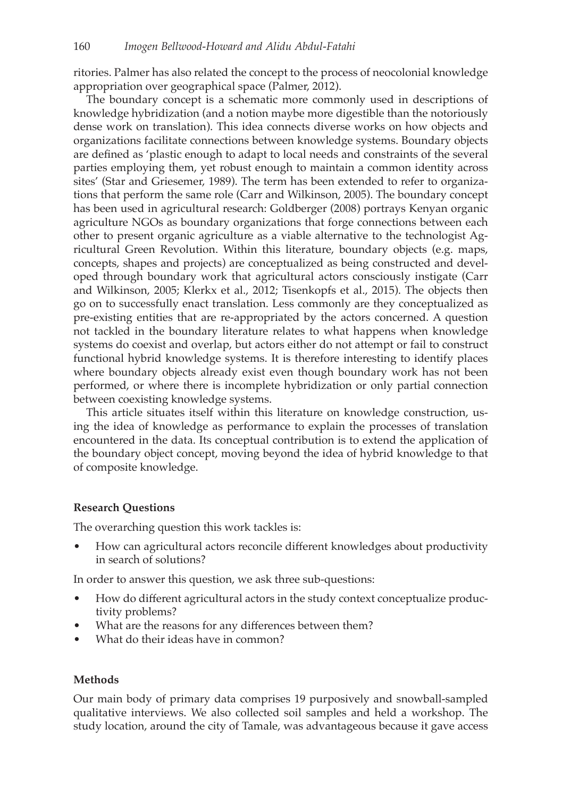ritories. Palmer has also related the concept to the process of neocolonial knowledge appropriation over geographical space (Palmer, 2012).

The boundary concept is a schematic more commonly used in descriptions of knowledge hybridization (and a notion maybe more digestible than the notoriously dense work on translation). This idea connects diverse works on how objects and organizations facilitate connections between knowledge systems. Boundary objects are defined as 'plastic enough to adapt to local needs and constraints of the several parties employing them, yet robust enough to maintain a common identity across sites' (Star and Griesemer, 1989). The term has been extended to refer to organizations that perform the same role (Carr and Wilkinson, 2005). The boundary concept has been used in agricultural research: Goldberger (2008) portrays Kenyan organic agriculture NGOs as boundary organizations that forge connections between each other to present organic agriculture as a viable alternative to the technologist Agricultural Green Revolution. Within this literature, boundary objects (e.g. maps, concepts, shapes and projects) are conceptualized as being constructed and developed through boundary work that agricultural actors consciously instigate (Carr and Wilkinson, 2005; Klerkx et al., 2012; Tisenkopfs et al., 2015). The objects then go on to successfully enact translation. Less commonly are they conceptualized as pre-existing entities that are re-appropriated by the actors concerned. A question not tackled in the boundary literature relates to what happens when knowledge systems do coexist and overlap, but actors either do not attempt or fail to construct functional hybrid knowledge systems. It is therefore interesting to identify places where boundary objects already exist even though boundary work has not been performed, or where there is incomplete hybridization or only partial connection between coexisting knowledge systems.

This article situates itself within this literature on knowledge construction, using the idea of knowledge as performance to explain the processes of translation encountered in the data. Its conceptual contribution is to extend the application of the boundary object concept, moving beyond the idea of hybrid knowledge to that of composite knowledge.

# **Research Questions**

The overarching question this work tackles is:

• How can agricultural actors reconcile different knowledges about productivity in search of solutions?

In order to answer this question, we ask three sub-questions:

- How do different agricultural actors in the study context conceptualize productivity problems?
- What are the reasons for any differences between them?
- What do their ideas have in common?

# **Methods**

Our main body of primary data comprises 19 purposively and snowball-sampled qualitative interviews. We also collected soil samples and held a workshop. The study location, around the city of Tamale, was advantageous because it gave access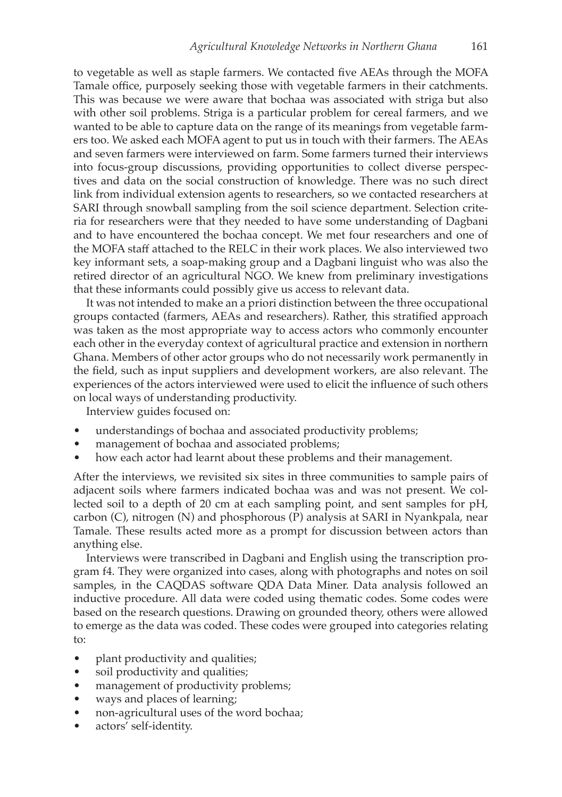to vegetable as well as staple farmers. We contacted five AEAs through the MOFA Tamale office, purposely seeking those with vegetable farmers in their catchments. This was because we were aware that bochaa was associated with striga but also with other soil problems. Striga is a particular problem for cereal farmers, and we wanted to be able to capture data on the range of its meanings from vegetable farmers too. We asked each MOFA agent to put us in touch with their farmers. The AEAs and seven farmers were interviewed on farm. Some farmers turned their interviews into focus-group discussions, providing opportunities to collect diverse perspectives and data on the social construction of knowledge. There was no such direct link from individual extension agents to researchers, so we contacted researchers at SARI through snowball sampling from the soil science department. Selection criteria for researchers were that they needed to have some understanding of Dagbani and to have encountered the bochaa concept. We met four researchers and one of the MOFA staff attached to the RELC in their work places. We also interviewed two key informant sets, a soap-making group and a Dagbani linguist who was also the retired director of an agricultural NGO. We knew from preliminary investigations that these informants could possibly give us access to relevant data.

It was not intended to make an a priori distinction between the three occupational groups contacted (farmers, AEAs and researchers). Rather, this stratified approach was taken as the most appropriate way to access actors who commonly encounter each other in the everyday context of agricultural practice and extension in northern Ghana. Members of other actor groups who do not necessarily work permanently in the field, such as input suppliers and development workers, are also relevant. The experiences of the actors interviewed were used to elicit the influence of such others on local ways of understanding productivity.

Interview guides focused on:

- understandings of bochaa and associated productivity problems;
- management of bochaa and associated problems;
- how each actor had learnt about these problems and their management.

After the interviews, we revisited six sites in three communities to sample pairs of adjacent soils where farmers indicated bochaa was and was not present. We collected soil to a depth of 20 cm at each sampling point, and sent samples for pH, carbon (C), nitrogen (N) and phosphorous (P) analysis at SARI in Nyankpala, near Tamale. These results acted more as a prompt for discussion between actors than anything else.

Interviews were transcribed in Dagbani and English using the transcription program f4. They were organized into cases, along with photographs and notes on soil samples, in the CAQDAS software QDA Data Miner. Data analysis followed an inductive procedure. All data were coded using thematic codes. Some codes were based on the research questions. Drawing on grounded theory, others were allowed to emerge as the data was coded. These codes were grouped into categories relating to:

- plant productivity and qualities;
- soil productivity and qualities;
- management of productivity problems;
- ways and places of learning;
- non-agricultural uses of the word bochaa;
- actors' self-identity.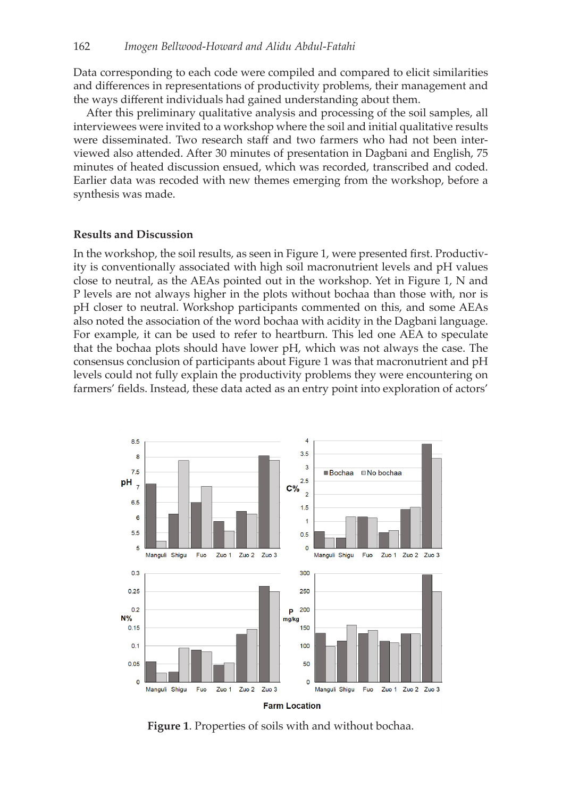Data corresponding to each code were compiled and compared to elicit similarities and differences in representations of productivity problems, their management and the ways different individuals had gained understanding about them.

After this preliminary qualitative analysis and processing of the soil samples, all interviewees were invited to a workshop where the soil and initial qualitative results were disseminated. Two research staff and two farmers who had not been interviewed also attended. After 30 minutes of presentation in Dagbani and English, 75 minutes of heated discussion ensued, which was recorded, transcribed and coded. Earlier data was recoded with new themes emerging from the workshop, before a synthesis was made.

#### **Results and Discussion**

In the workshop, the soil results, as seen in Figure 1, were presented first. Productivity is conventionally associated with high soil macronutrient levels and pH values close to neutral, as the AEAs pointed out in the workshop. Yet in Figure 1, N and P levels are not always higher in the plots without bochaa than those with, nor is pH closer to neutral. Workshop participants commented on this, and some AEAs also noted the association of the word bochaa with acidity in the Dagbani language. For example, it can be used to refer to heartburn. This led one AEA to speculate that the bochaa plots should have lower pH, which was not always the case. The consensus conclusion of participants about Figure 1 was that macronutrient and pH levels could not fully explain the productivity problems they were encountering on farmers' fields. Instead, these data acted as an entry point into exploration of actors'



**Figure 1**. Properties of soils with and without bochaa.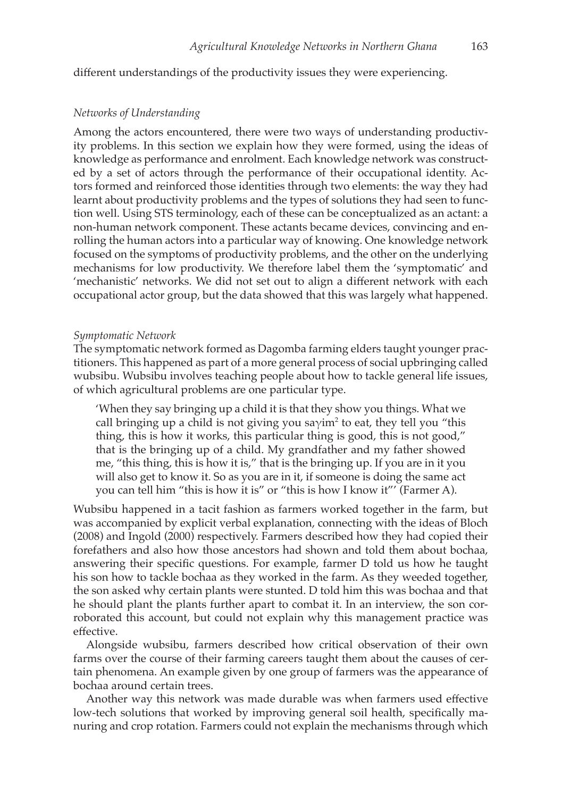different understandings of the productivity issues they were experiencing.

#### *Networks of Understanding*

Among the actors encountered, there were two ways of understanding productivity problems. In this section we explain how they were formed, using the ideas of knowledge as performance and enrolment. Each knowledge network was constructed by a set of actors through the performance of their occupational identity. Actors formed and reinforced those identities through two elements: the way they had learnt about productivity problems and the types of solutions they had seen to function well. Using STS terminology, each of these can be conceptualized as an actant: a non-human network component. These actants became devices, convincing and enrolling the human actors into a particular way of knowing. One knowledge network focused on the symptoms of productivity problems, and the other on the underlying mechanisms for low productivity. We therefore label them the 'symptomatic' and 'mechanistic' networks. We did not set out to align a different network with each occupational actor group, but the data showed that this was largely what happened.

#### *Symptomatic Network*

The symptomatic network formed as Dagomba farming elders taught younger practitioners. This happened as part of a more general process of social upbringing called wubsibu. Wubsibu involves teaching people about how to tackle general life issues, of which agricultural problems are one particular type.

'When they say bringing up a child it is that they show you things. What we call bringing up a child is not giving you sa $\gamma$ im<sup>2</sup> to eat, they tell you "this thing, this is how it works, this particular thing is good, this is not good," that is the bringing up of a child. My grandfather and my father showed me, "this thing, this is how it is," that is the bringing up. If you are in it you will also get to know it. So as you are in it, if someone is doing the same act you can tell him "this is how it is" or "this is how I know it"' (Farmer A).

Wubsibu happened in a tacit fashion as farmers worked together in the farm, but was accompanied by explicit verbal explanation, connecting with the ideas of Bloch (2008) and Ingold (2000) respectively. Farmers described how they had copied their forefathers and also how those ancestors had shown and told them about bochaa, answering their specific questions. For example, farmer D told us how he taught his son how to tackle bochaa as they worked in the farm. As they weeded together, the son asked why certain plants were stunted. D told him this was bochaa and that he should plant the plants further apart to combat it. In an interview, the son corroborated this account, but could not explain why this management practice was effective.

Alongside wubsibu, farmers described how critical observation of their own farms over the course of their farming careers taught them about the causes of certain phenomena. An example given by one group of farmers was the appearance of bochaa around certain trees.

Another way this network was made durable was when farmers used effective low-tech solutions that worked by improving general soil health, specifically manuring and crop rotation. Farmers could not explain the mechanisms through which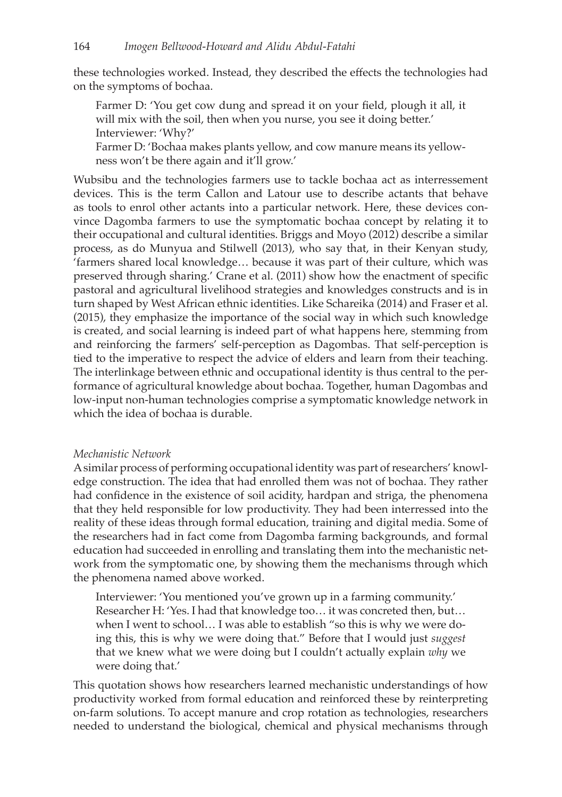these technologies worked. Instead, they described the effects the technologies had on the symptoms of bochaa.

Farmer D: 'You get cow dung and spread it on your field, plough it all, it will mix with the soil, then when you nurse, you see it doing better.' Interviewer: 'Why?'

Farmer D: 'Bochaa makes plants yellow, and cow manure means its yellowness won't be there again and it'll grow.'

Wubsibu and the technologies farmers use to tackle bochaa act as interressement devices. This is the term Callon and Latour use to describe actants that behave as tools to enrol other actants into a particular network. Here, these devices convince Dagomba farmers to use the symptomatic bochaa concept by relating it to their occupational and cultural identities. Briggs and Moyo (2012) describe a similar process, as do Munyua and Stilwell (2013), who say that, in their Kenyan study, 'farmers shared local knowledge… because it was part of their culture, which was preserved through sharing.' Crane et al. (2011) show how the enactment of specific pastoral and agricultural livelihood strategies and knowledges constructs and is in turn shaped by West African ethnic identities. Like Schareika (2014) and Fraser et al. (2015), they emphasize the importance of the social way in which such knowledge is created, and social learning is indeed part of what happens here, stemming from and reinforcing the farmers' self-perception as Dagombas. That self-perception is tied to the imperative to respect the advice of elders and learn from their teaching. The interlinkage between ethnic and occupational identity is thus central to the performance of agricultural knowledge about bochaa. Together, human Dagombas and low-input non-human technologies comprise a symptomatic knowledge network in which the idea of bochaa is durable.

# *Mechanistic Network*

A similar process of performing occupational identity was part of researchers' knowledge construction. The idea that had enrolled them was not of bochaa. They rather had confidence in the existence of soil acidity, hardpan and striga, the phenomena that they held responsible for low productivity. They had been interressed into the reality of these ideas through formal education, training and digital media. Some of the researchers had in fact come from Dagomba farming backgrounds, and formal education had succeeded in enrolling and translating them into the mechanistic network from the symptomatic one, by showing them the mechanisms through which the phenomena named above worked.

Interviewer: 'You mentioned you've grown up in a farming community.' Researcher H: 'Yes. I had that knowledge too… it was concreted then, but… when I went to school... I was able to establish "so this is why we were doing this, this is why we were doing that." Before that I would just *suggest* that we knew what we were doing but I couldn't actually explain *why* we were doing that.'

This quotation shows how researchers learned mechanistic understandings of how productivity worked from formal education and reinforced these by reinterpreting on-farm solutions. To accept manure and crop rotation as technologies, researchers needed to understand the biological, chemical and physical mechanisms through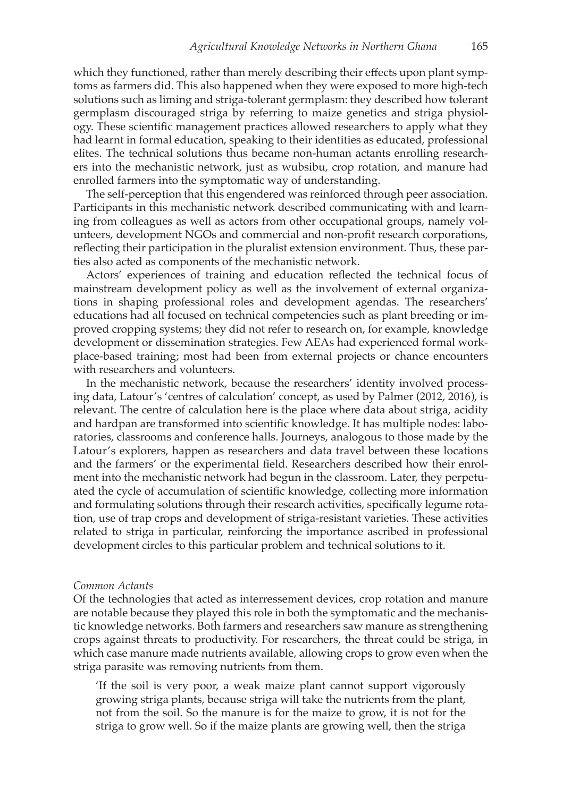which they functioned, rather than merely describing their effects upon plant symptoms as farmers did. This also happened when they were exposed to more high-tech solutions such as liming and striga-tolerant germplasm: they described how tolerant germplasm discouraged striga by referring to maize genetics and striga physiology. These scientific management practices allowed researchers to apply what they had learnt in formal education, speaking to their identities as educated, professional elites. The technical solutions thus became non-human actants enrolling researchers into the mechanistic network, just as wubsibu, crop rotation, and manure had enrolled farmers into the symptomatic way of understanding.

The self-perception that this engendered was reinforced through peer association. Participants in this mechanistic network described communicating with and learning from colleagues as well as actors from other occupational groups, namely volunteers, development NGOs and commercial and non-profit research corporations, reflecting their participation in the pluralist extension environment. Thus, these parties also acted as components of the mechanistic network.

Actors' experiences of training and education reflected the technical focus of mainstream development policy as well as the involvement of external organizations in shaping professional roles and development agendas. The researchers' educations had all focused on technical competencies such as plant breeding or improved cropping systems; they did not refer to research on, for example, knowledge development or dissemination strategies. Few AEAs had experienced formal workplace-based training; most had been from external projects or chance encounters with researchers and volunteers.

In the mechanistic network, because the researchers' identity involved processing data, Latour's 'centres of calculation' concept, as used by Palmer (2012, 2016), is relevant. The centre of calculation here is the place where data about striga, acidity and hardpan are transformed into scientific knowledge. It has multiple nodes: laboratories, classrooms and conference halls. Journeys, analogous to those made by the Latour's explorers, happen as researchers and data travel between these locations and the farmers' or the experimental field. Researchers described how their enrolment into the mechanistic network had begun in the classroom. Later, they perpetuated the cycle of accumulation of scientific knowledge, collecting more information and formulating solutions through their research activities, specifically legume rotation, use of trap crops and development of striga-resistant varieties. These activities related to striga in particular, reinforcing the importance ascribed in professional development circles to this particular problem and technical solutions to it.

#### *Common Actants*

Of the technologies that acted as interressement devices, crop rotation and manure are notable because they played this role in both the symptomatic and the mechanistic knowledge networks. Both farmers and researchers saw manure as strengthening crops against threats to productivity. For researchers, the threat could be striga, in which case manure made nutrients available, allowing crops to grow even when the striga parasite was removing nutrients from them.

'If the soil is very poor, a weak maize plant cannot support vigorously growing striga plants, because striga will take the nutrients from the plant, not from the soil. So the manure is for the maize to grow, it is not for the striga to grow well. So if the maize plants are growing well, then the striga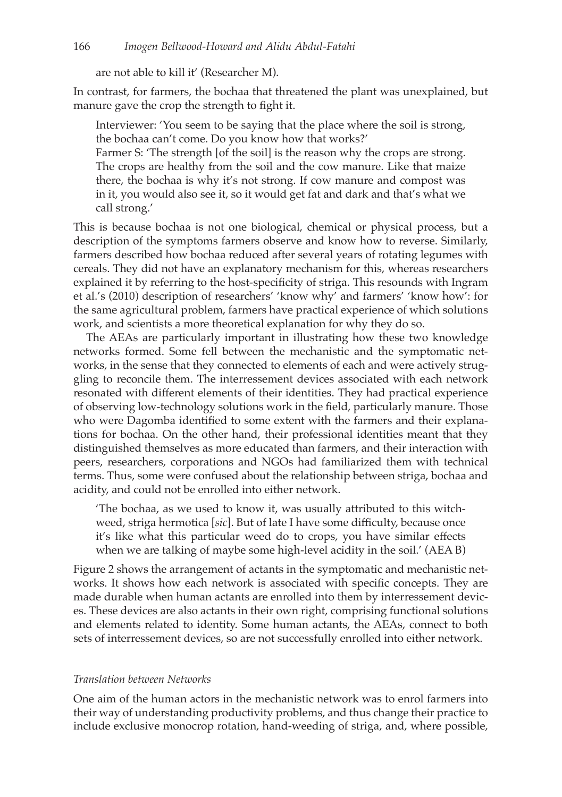are not able to kill it' (Researcher M).

In contrast, for farmers, the bochaa that threatened the plant was unexplained, but manure gave the crop the strength to fight it.

Interviewer: 'You seem to be saying that the place where the soil is strong, the bochaa can't come. Do you know how that works?'

Farmer S: 'The strength [of the soil] is the reason why the crops are strong. The crops are healthy from the soil and the cow manure. Like that maize there, the bochaa is why it's not strong. If cow manure and compost was in it, you would also see it, so it would get fat and dark and that's what we call strong.'

This is because bochaa is not one biological, chemical or physical process, but a description of the symptoms farmers observe and know how to reverse. Similarly, farmers described how bochaa reduced after several years of rotating legumes with cereals. They did not have an explanatory mechanism for this, whereas researchers explained it by referring to the host-specificity of striga. This resounds with Ingram et al.'s (2010) description of researchers' 'know why' and farmers' 'know how': for the same agricultural problem, farmers have practical experience of which solutions work, and scientists a more theoretical explanation for why they do so.

The AEAs are particularly important in illustrating how these two knowledge networks formed. Some fell between the mechanistic and the symptomatic networks, in the sense that they connected to elements of each and were actively struggling to reconcile them. The interressement devices associated with each network resonated with different elements of their identities. They had practical experience of observing low-technology solutions work in the field, particularly manure. Those who were Dagomba identified to some extent with the farmers and their explanations for bochaa. On the other hand, their professional identities meant that they distinguished themselves as more educated than farmers, and their interaction with peers, researchers, corporations and NGOs had familiarized them with technical terms. Thus, some were confused about the relationship between striga, bochaa and acidity, and could not be enrolled into either network.

'The bochaa, as we used to know it, was usually attributed to this witchweed, striga hermotica [*sic*]. But of late I have some difficulty, because once it's like what this particular weed do to crops, you have similar effects when we are talking of maybe some high-level acidity in the soil.' (AEA B)

Figure 2 shows the arrangement of actants in the symptomatic and mechanistic networks. It shows how each network is associated with specific concepts. They are made durable when human actants are enrolled into them by interressement devices. These devices are also actants in their own right, comprising functional solutions and elements related to identity. Some human actants, the AEAs, connect to both sets of interressement devices, so are not successfully enrolled into either network.

# *Translation between Networks*

One aim of the human actors in the mechanistic network was to enrol farmers into their way of understanding productivity problems, and thus change their practice to include exclusive monocrop rotation, hand-weeding of striga, and, where possible,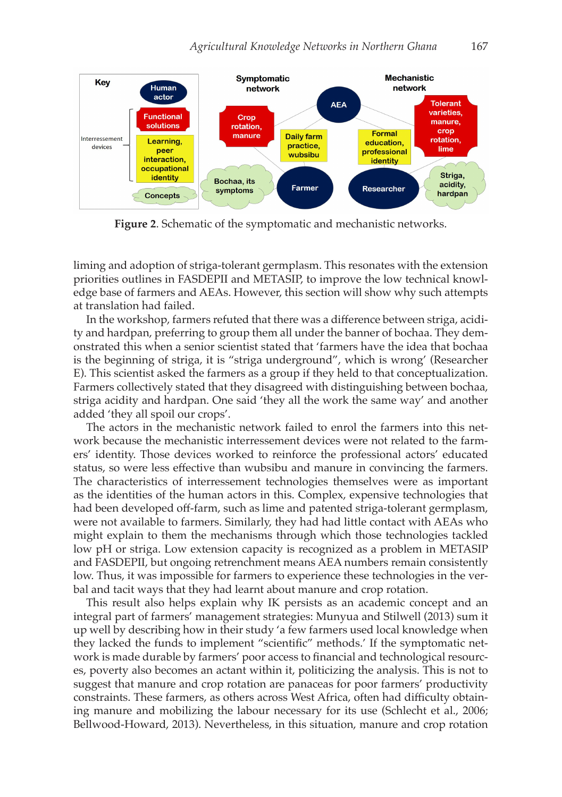

**Figure 2**. Schematic of the symptomatic and mechanistic networks.

liming and adoption of striga-tolerant germplasm. This resonates with the extension priorities outlines in FASDEPII and METASIP, to improve the low technical knowledge base of farmers and AEAs. However, this section will show why such attempts at translation had failed.

In the workshop, farmers refuted that there was a difference between striga, acidity and hardpan, preferring to group them all under the banner of bochaa. They demonstrated this when a senior scientist stated that 'farmers have the idea that bochaa is the beginning of striga, it is "striga underground", which is wrong' (Researcher E). This scientist asked the farmers as a group if they held to that conceptualization. Farmers collectively stated that they disagreed with distinguishing between bochaa, striga acidity and hardpan. One said 'they all the work the same way' and another added 'they all spoil our crops'.

The actors in the mechanistic network failed to enrol the farmers into this network because the mechanistic interressement devices were not related to the farmers' identity. Those devices worked to reinforce the professional actors' educated status, so were less effective than wubsibu and manure in convincing the farmers. The characteristics of interressement technologies themselves were as important as the identities of the human actors in this. Complex, expensive technologies that had been developed off-farm, such as lime and patented striga-tolerant germplasm, were not available to farmers. Similarly, they had had little contact with AEAs who might explain to them the mechanisms through which those technologies tackled low pH or striga. Low extension capacity is recognized as a problem in METASIP and FASDEPII, but ongoing retrenchment means AEA numbers remain consistently low. Thus, it was impossible for farmers to experience these technologies in the verbal and tacit ways that they had learnt about manure and crop rotation.

This result also helps explain why IK persists as an academic concept and an integral part of farmers' management strategies: Munyua and Stilwell (2013) sum it up well by describing how in their study 'a few farmers used local knowledge when they lacked the funds to implement "scientific" methods.' If the symptomatic network is made durable by farmers' poor access to financial and technological resources, poverty also becomes an actant within it, politicizing the analysis. This is not to suggest that manure and crop rotation are panaceas for poor farmers' productivity constraints. These farmers, as others across West Africa, often had difficulty obtaining manure and mobilizing the labour necessary for its use (Schlecht et al., 2006; Bellwood-Howard, 2013). Nevertheless, in this situation, manure and crop rotation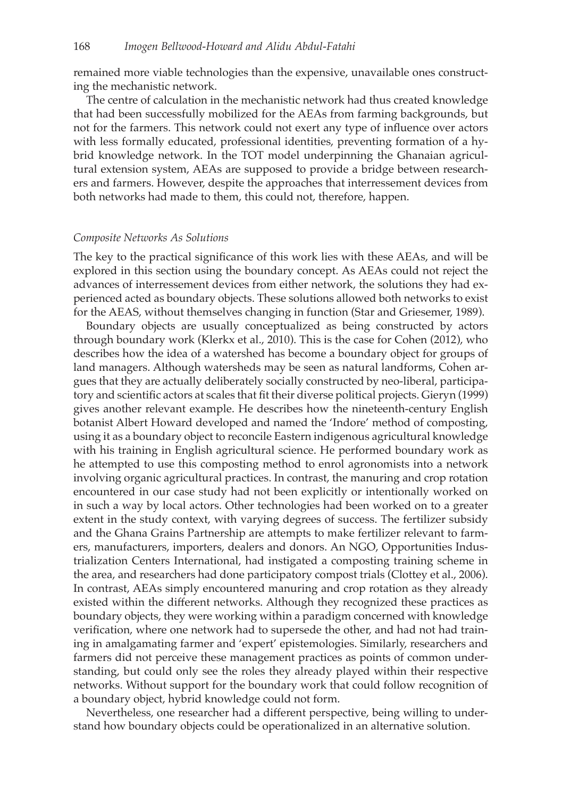remained more viable technologies than the expensive, unavailable ones constructing the mechanistic network.

The centre of calculation in the mechanistic network had thus created knowledge that had been successfully mobilized for the AEAs from farming backgrounds, but not for the farmers. This network could not exert any type of influence over actors with less formally educated, professional identities, preventing formation of a hybrid knowledge network. In the TOT model underpinning the Ghanaian agricultural extension system, AEAs are supposed to provide a bridge between researchers and farmers. However, despite the approaches that interressement devices from both networks had made to them, this could not, therefore, happen.

#### *Composite Networks As Solutions*

The key to the practical significance of this work lies with these AEAs, and will be explored in this section using the boundary concept. As AEAs could not reject the advances of interressement devices from either network, the solutions they had experienced acted as boundary objects. These solutions allowed both networks to exist for the AEAS, without themselves changing in function (Star and Griesemer, 1989).

Boundary objects are usually conceptualized as being constructed by actors through boundary work (Klerkx et al., 2010). This is the case for Cohen (2012), who describes how the idea of a watershed has become a boundary object for groups of land managers. Although watersheds may be seen as natural landforms, Cohen argues that they are actually deliberately socially constructed by neo-liberal, participatory and scientific actors at scales that fit their diverse political projects. Gieryn (1999) gives another relevant example. He describes how the nineteenth-century English botanist Albert Howard developed and named the 'Indore' method of composting, using it as a boundary object to reconcile Eastern indigenous agricultural knowledge with his training in English agricultural science. He performed boundary work as he attempted to use this composting method to enrol agronomists into a network involving organic agricultural practices. In contrast, the manuring and crop rotation encountered in our case study had not been explicitly or intentionally worked on in such a way by local actors. Other technologies had been worked on to a greater extent in the study context, with varying degrees of success. The fertilizer subsidy and the Ghana Grains Partnership are attempts to make fertilizer relevant to farmers, manufacturers, importers, dealers and donors. An NGO, Opportunities Industrialization Centers International, had instigated a composting training scheme in the area, and researchers had done participatory compost trials (Clottey et al., 2006). In contrast, AEAs simply encountered manuring and crop rotation as they already existed within the different networks. Although they recognized these practices as boundary objects, they were working within a paradigm concerned with knowledge verification, where one network had to supersede the other, and had not had training in amalgamating farmer and 'expert' epistemologies. Similarly, researchers and farmers did not perceive these management practices as points of common understanding, but could only see the roles they already played within their respective networks. Without support for the boundary work that could follow recognition of a boundary object, hybrid knowledge could not form.

Nevertheless, one researcher had a different perspective, being willing to understand how boundary objects could be operationalized in an alternative solution.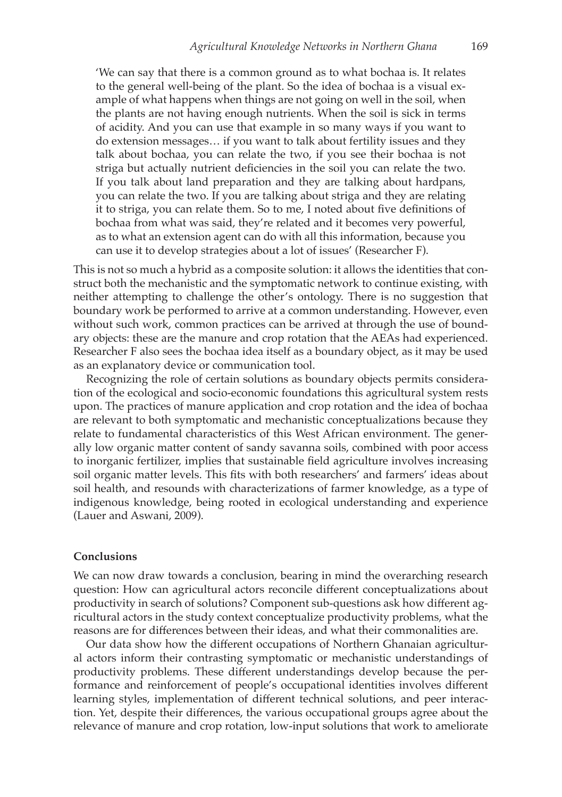'We can say that there is a common ground as to what bochaa is. It relates to the general well-being of the plant. So the idea of bochaa is a visual example of what happens when things are not going on well in the soil, when the plants are not having enough nutrients. When the soil is sick in terms of acidity. And you can use that example in so many ways if you want to do extension messages… if you want to talk about fertility issues and they talk about bochaa, you can relate the two, if you see their bochaa is not striga but actually nutrient deficiencies in the soil you can relate the two. If you talk about land preparation and they are talking about hardpans, you can relate the two. If you are talking about striga and they are relating it to striga, you can relate them. So to me, I noted about five definitions of bochaa from what was said, they're related and it becomes very powerful, as to what an extension agent can do with all this information, because you can use it to develop strategies about a lot of issues' (Researcher F).

This is not so much a hybrid as a composite solution: it allows the identities that construct both the mechanistic and the symptomatic network to continue existing, with neither attempting to challenge the other's ontology. There is no suggestion that boundary work be performed to arrive at a common understanding. However, even without such work, common practices can be arrived at through the use of boundary objects: these are the manure and crop rotation that the AEAs had experienced. Researcher F also sees the bochaa idea itself as a boundary object, as it may be used as an explanatory device or communication tool.

Recognizing the role of certain solutions as boundary objects permits consideration of the ecological and socio-economic foundations this agricultural system rests upon. The practices of manure application and crop rotation and the idea of bochaa are relevant to both symptomatic and mechanistic conceptualizations because they relate to fundamental characteristics of this West African environment. The generally low organic matter content of sandy savanna soils, combined with poor access to inorganic fertilizer, implies that sustainable field agriculture involves increasing soil organic matter levels. This fits with both researchers' and farmers' ideas about soil health, and resounds with characterizations of farmer knowledge, as a type of indigenous knowledge, being rooted in ecological understanding and experience (Lauer and Aswani, 2009).

#### **Conclusions**

We can now draw towards a conclusion, bearing in mind the overarching research question: How can agricultural actors reconcile different conceptualizations about productivity in search of solutions? Component sub-questions ask how different agricultural actors in the study context conceptualize productivity problems, what the reasons are for differences between their ideas, and what their commonalities are.

Our data show how the different occupations of Northern Ghanaian agricultural actors inform their contrasting symptomatic or mechanistic understandings of productivity problems. These different understandings develop because the performance and reinforcement of people's occupational identities involves different learning styles, implementation of different technical solutions, and peer interaction. Yet, despite their differences, the various occupational groups agree about the relevance of manure and crop rotation, low-input solutions that work to ameliorate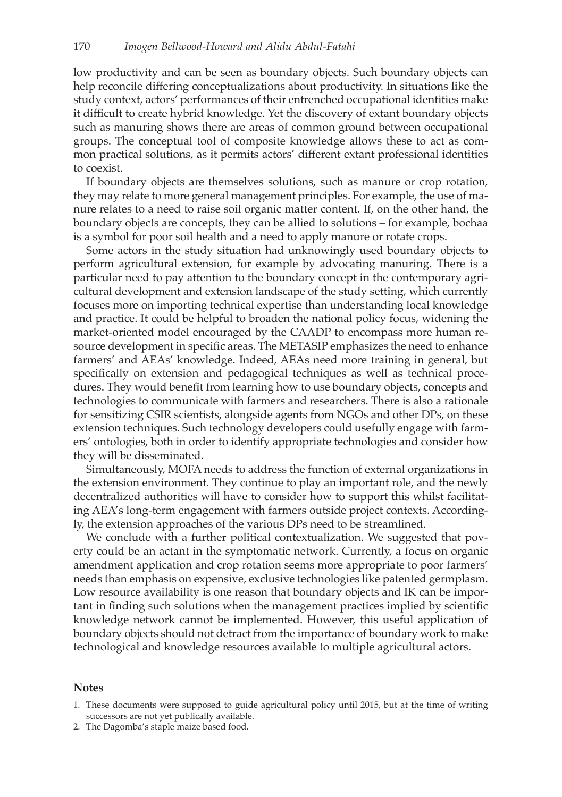low productivity and can be seen as boundary objects. Such boundary objects can help reconcile differing conceptualizations about productivity. In situations like the study context, actors' performances of their entrenched occupational identities make it difficult to create hybrid knowledge. Yet the discovery of extant boundary objects such as manuring shows there are areas of common ground between occupational groups. The conceptual tool of composite knowledge allows these to act as common practical solutions, as it permits actors' different extant professional identities to coexist.

If boundary objects are themselves solutions, such as manure or crop rotation, they may relate to more general management principles. For example, the use of manure relates to a need to raise soil organic matter content. If, on the other hand, the boundary objects are concepts, they can be allied to solutions – for example, bochaa is a symbol for poor soil health and a need to apply manure or rotate crops.

Some actors in the study situation had unknowingly used boundary objects to perform agricultural extension, for example by advocating manuring. There is a particular need to pay attention to the boundary concept in the contemporary agricultural development and extension landscape of the study setting, which currently focuses more on importing technical expertise than understanding local knowledge and practice. It could be helpful to broaden the national policy focus, widening the market-oriented model encouraged by the CAADP to encompass more human resource development in specific areas. The METASIP emphasizes the need to enhance farmers' and AEAs' knowledge. Indeed, AEAs need more training in general, but specifically on extension and pedagogical techniques as well as technical procedures. They would benefit from learning how to use boundary objects, concepts and technologies to communicate with farmers and researchers. There is also a rationale for sensitizing CSIR scientists, alongside agents from NGOs and other DPs, on these extension techniques. Such technology developers could usefully engage with farmers' ontologies, both in order to identify appropriate technologies and consider how they will be disseminated.

Simultaneously, MOFA needs to address the function of external organizations in the extension environment. They continue to play an important role, and the newly decentralized authorities will have to consider how to support this whilst facilitating AEA's long-term engagement with farmers outside project contexts. Accordingly, the extension approaches of the various DPs need to be streamlined.

We conclude with a further political contextualization. We suggested that poverty could be an actant in the symptomatic network. Currently, a focus on organic amendment application and crop rotation seems more appropriate to poor farmers' needs than emphasis on expensive, exclusive technologies like patented germplasm. Low resource availability is one reason that boundary objects and IK can be important in finding such solutions when the management practices implied by scientific knowledge network cannot be implemented. However, this useful application of boundary objects should not detract from the importance of boundary work to make technological and knowledge resources available to multiple agricultural actors.

#### **Notes**

- 1. These documents were supposed to guide agricultural policy until 2015, but at the time of writing successors are not yet publically available.
- 2. The Dagomba's staple maize based food.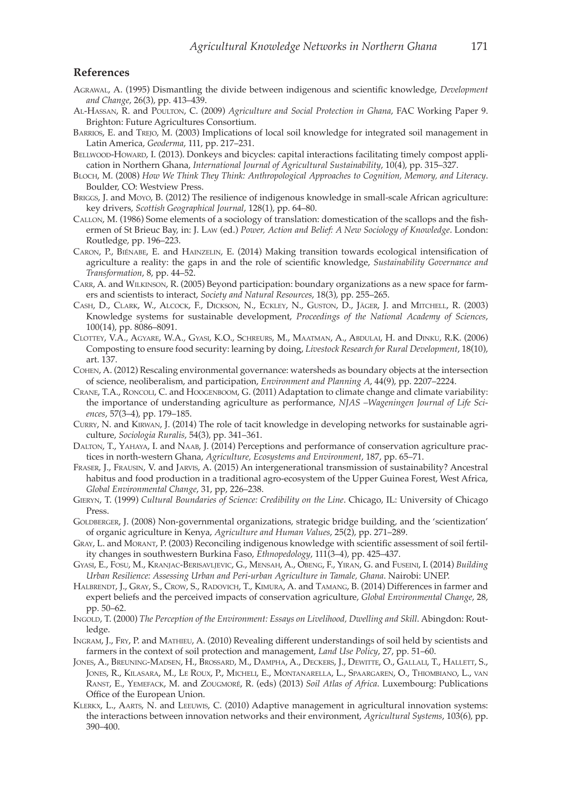#### **References**

- Agrawal, A. (1995) Dismantling the divide between indigenous and scientific knowledge, *Development and Change*, 26(3), pp. 413–439.
- Al-Hassan, R. and Poulton, C. (2009) *Agriculture and Social Protection in Ghana*, FAC Working Paper 9. Brighton: Future Agricultures Consortium.
- Barrios, E. and Trejo, M. (2003) Implications of local soil knowledge for integrated soil management in Latin America, *Geoderma*, 111, pp. 217–231.
- BELLWOOD-HOWARD, I. (2013). Donkeys and bicycles: capital interactions facilitating timely compost application in Northern Ghana, *International Journal of Agricultural Sustainability*, 10(4), pp. 315–327.
- Bloch, M. (2008) *How We Think They Think: Anthropological Approaches to Cognition, Memory, and Literacy*. Boulder, CO: Westview Press.
- Briggs, J. and Moyo, B. (2012) The resilience of indigenous knowledge in small-scale African agriculture: key drivers, *Scottish Geographical Journal*, 128(1), pp. 64–80.
- Callon, M. (1986) Some elements of a sociology of translation: domestication of the scallops and the fishermen of St Brieuc Bay, in: J. Law (ed.) *Power, Action and Belief: A New Sociology of Knowledge*. London: Routledge, pp. 196–223.
- Caron, P., Biénabe, E. and Hainzelin, E. (2014) Making transition towards ecological intensification of agriculture a reality: the gaps in and the role of scientific knowledge, *Sustainability Governance and Transformation*, 8, pp. 44–52.
- Carr, A. and Wilkinson, R. (2005) Beyond participation: boundary organizations as a new space for farmers and scientists to interact, *Society and Natural Resources*, 18(3), pp. 255–265.
- Cash, D., Clark, W., Alcock, F., Dickson, N., Eckley, N., Guston, D., Jäger, J. and Mitchell, R. (2003) Knowledge systems for sustainable development, *Proceedings of the National Academy of Sciences*, 100(14), pp. 8086–8091.
- Clottey, V.A., Agyare, W.A., Gyasi, K.O., Schreurs, M., Maatman, A., Abdulai, H. and Dinku, R.K. (2006) Composting to ensure food security: learning by doing, *Livestock Research for Rural Development*, 18(10), art. 137.
- Cohen, A. (2012) Rescaling environmental governance: watersheds as boundary objects at the intersection of science, neoliberalism, and participation, *Environment and Planning A*, 44(9), pp. 2207–2224.
- Crane, T.A., Roncoli, C. and Hoogenboom, G. (2011) Adaptation to climate change and climate variability: the importance of understanding agriculture as performance, *NJAS –Wageningen Journal of Life Sciences*, 57(3–4), pp. 179–185.
- Curry, N. and Kirwan, J. (2014) The role of tacit knowledge in developing networks for sustainable agriculture, *Sociologia Ruralis*, 54(3), pp. 341–361.
- Dalton, T., Yahaya, I. and Naab, J. (2014) Perceptions and performance of conservation agriculture practices in north-western Ghana, *Agriculture, Ecosystems and Environment*, 187, pp. 65–71.
- Fraser, J., Frausin, V. and Jarvis, A. (2015) An intergenerational transmission of sustainability? Ancestral habitus and food production in a traditional agro-ecosystem of the Upper Guinea Forest, West Africa, *Global Environmental Change*, 31, pp, 226–238.
- Gieryn, T. (1999) *Cultural Boundaries of Science: Credibility on the Line*. Chicago, IL: University of Chicago Press.
- GOLDBERGER, J. (2008) Non-governmental organizations, strategic bridge building, and the 'scientization' of organic agriculture in Kenya, *Agriculture and Human Values*, 25(2), pp. 271–289.
- Gray, L. and Morant, P. (2003) Reconciling indigenous knowledge with scientific assessment of soil fertility changes in southwestern Burkina Faso, *Ethnopedology*, 111(3–4), pp. 425–437.
- Gyasi, E., Fosu, M., Kranjac-Berisavljevic, G., Mensah, A., Obeng, F., Yiran, G. and Fuseini, I. (2014) *Building Urban Resilience: Assessing Urban and Peri-urban Agriculture in Tamale, Ghana*. Nairobi: UNEP.
- HALBRENDT, J., GRAY, S., CROW, S., RADOVICH, T., KIMURA, A. and TAMANG, B. (2014) Differences in farmer and expert beliefs and the perceived impacts of conservation agriculture, *Global Environmental Change*, 28, pp. 50–62.
- Ingold, T. (2000) *The Perception of the Environment: Essays on Livelihood, Dwelling and Skill*. Abingdon: Routledge.
- Ingram, J., Fry, P. and Mathieu, A. (2010) Revealing different understandings of soil held by scientists and farmers in the context of soil protection and management, *Land Use Policy*, 27, pp. 51–60.
- Jones, A., Breuning-Madsen, H., Brossard, M., Dampha, A., Deckers, J., Dewitte, O., Gallali, T., Hallett, S., Jones, R., Kilasara, M., Le Roux, P., Micheli, E., Montanarella, L., Spaargaren, O., Thiombiano, L., van Ranst, E., Yemefack, M. and Zougmoré, R. (eds) (2013) *Soil Atlas of Africa*. Luxembourg: Publications Office of the European Union.
- Klerkx, L., Aarts, N. and Leeuwis, C. (2010) Adaptive management in agricultural innovation systems: the interactions between innovation networks and their environment, *Agricultural Systems*, 103(6), pp. 390–400.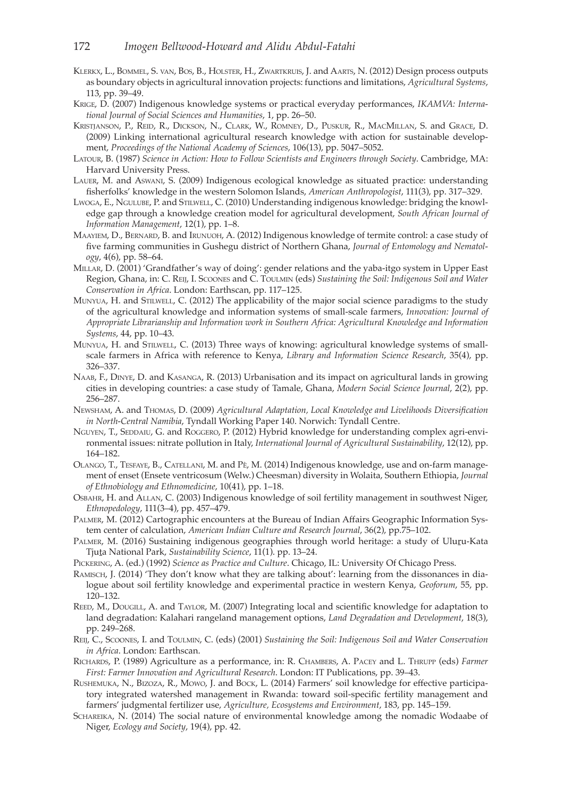- Klerkx, L., Bommel, S. van, Bos, B., Holster, H., Zwartkruis, J. and Aarts, N. (2012) Design process outputs as boundary objects in agricultural innovation projects: functions and limitations, *Agricultural Systems*, 113, pp. 39–49.
- Krige, D. (2007) Indigenous knowledge systems or practical everyday performances, *IKAMVA: International Journal of Social Sciences and Humanities*, 1, pp. 26–50.
- Kristjanson, P., Reid, R., Dickson, N., Clark, W., Romney, D., Puskur, R., MacMillan, S. and Grace, D. (2009) Linking international agricultural research knowledge with action for sustainable development, *Proceedings of the National Academy of Sciences*, 106(13), pp. 5047–5052.
- Latour, B. (1987) *Science in Action: How to Follow Scientists and Engineers through Society*. Cambridge, MA: Harvard University Press.
- Lauer, M. and Aswani, S. (2009) Indigenous ecological knowledge as situated practice: understanding fisherfolks' knowledge in the western Solomon Islands, *American Anthropologist*, 111(3), pp. 317–329.
- Lwoga, E., Ngulube, P. and Stilwell, C. (2010) Understanding indigenous knowledge: bridging the knowledge gap through a knowledge creation model for agricultural development, *South African Journal of Information Management*, 12(1), pp. 1–8.
- Maayiem, D., Bernard, B. and Irunuoh, A. (2012) Indigenous knowledge of termite control: a case study of five farming communities in Gushegu district of Northern Ghana, *Journal of Entomology and Nematology*, 4(6), pp. 58–64.
- Millar, D. (2001) 'Grandfather's way of doing': gender relations and the yaba-itgo system in Upper East Region, Ghana, in: C. Reij, I. Scoones and C. Toulmin (eds) *Sustaining the Soil: Indigenous Soil and Water Conservation in Africa*. London: Earthscan, pp. 117–125.
- Munyua, H. and Stilwell, C. (2012) The applicability of the major social science paradigms to the study of the agricultural knowledge and information systems of small-scale farmers, *Innovation: Journal of Appropriate Librarianship and Information work in Southern Africa: Agricultural Knowledge and Information Systems*, 44, pp. 10–43.
- Munyua, H. and Stilwell, C. (2013) Three ways of knowing: agricultural knowledge systems of smallscale farmers in Africa with reference to Kenya, *Library and Information Science Research*, 35(4), pp. 326–337.
- Naab, F., Dinye, D. and Kasanga, R. (2013) Urbanisation and its impact on agricultural lands in growing cities in developing countries: a case study of Tamale, Ghana, *Modern Social Science Journal*, 2(2), pp. 256–287.
- Newsham, A. and Thomas, D. (2009) *Agricultural Adaptation, Local Knowledge and Livelihoods Diversification in North-Central Namibia*, Tyndall Working Paper 140. Norwich: Tyndall Centre.
- NGUYEN, T., SEDDAIU, G. and ROGGERO, P. (2012) Hybrid knowledge for understanding complex agri-environmental issues: nitrate pollution in Italy, *International Journal of Agricultural Sustainability*, 12(12), pp. 164–182.
- Olango, T., Tesfaye, B., Catellani, M. and Pè, M. (2014) Indigenous knowledge, use and on-farm management of enset (Ensete ventricosum (Welw.) Cheesman) diversity in Wolaita, Southern Ethiopia, *Journal of Ethnobiology and Ethnomedicine*, 10(41), pp. 1–18.
- Osbahr, H. and Allan, C. (2003) Indigenous knowledge of soil fertility management in southwest Niger, *Ethnopedology*, 111(3–4), pp. 457–479.
- Palmer, M. (2012) Cartographic encounters at the Bureau of Indian Affairs Geographic Information System center of calculation, *American Indian Culture and Research Journal*, 36(2), pp.75–102.
- PALMER, M. (2016) Sustaining indigenous geographies through world heritage: a study of Uluru-Kata Tjuṯa National Park, *Sustainability Science*, 11(1). pp. 13–24.
- Pickering, A. (ed.) (1992) *Science as Practice and Culture*. Chicago, IL: University Of Chicago Press.
- Ramisch, J. (2014) 'They don't know what they are talking about': learning from the dissonances in dialogue about soil fertility knowledge and experimental practice in western Kenya, *Geoforum*, 55, pp. 120–132.
- REED, M., DOUGILL, A. and TAYLOR, M. (2007) Integrating local and scientific knowledge for adaptation to land degradation: Kalahari rangeland management options, *Land Degradation and Development*, 18(3), pp. 249–268.
- Reij, C., Scoones, I. and Toulmin, C. (eds) (2001) *Sustaining the Soil: Indigenous Soil and Water Conservation in Africa*. London: Earthscan.
- Richards, P. (1989) Agriculture as a performance, in: R. Chambers, A. Pacey and L. Thrupp (eds) *Farmer First: Farmer Innovation and Agricultural Research*. London: IT Publications, pp. 39–43.
- Rushemuka, N., Bizoza, R., Mowo, J. and Bock, L. (2014) Farmers' soil knowledge for effective participatory integrated watershed management in Rwanda: toward soil-specific fertility management and farmers' judgmental fertilizer use, *Agriculture, Ecosystems and Environment*, 183, pp. 145–159.
- Schareika, N. (2014) The social nature of environmental knowledge among the nomadic Wodaabe of Niger, *Ecology and Society*, 19(4), pp. 42.